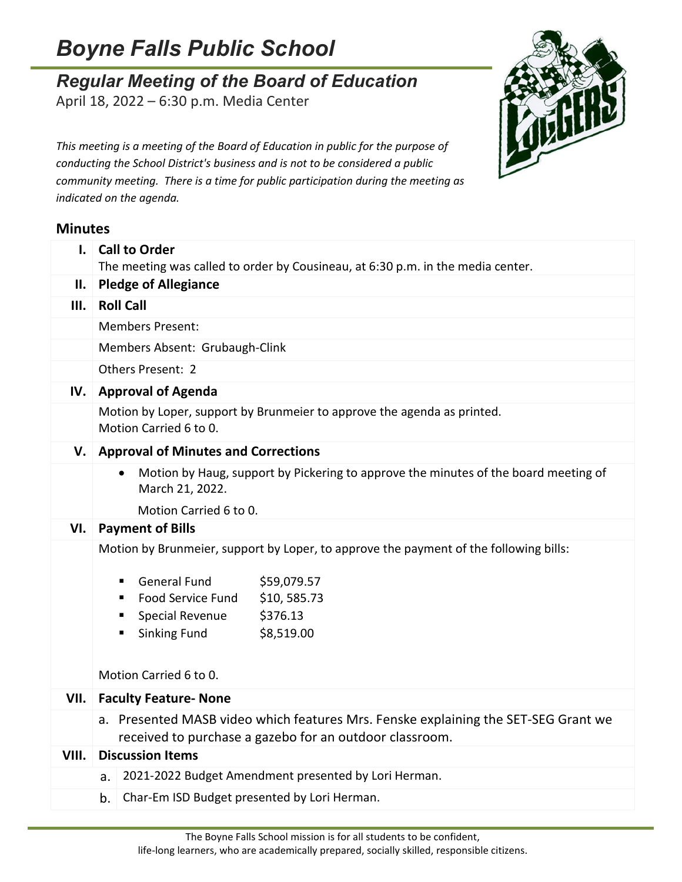## *Boyne Falls Public School*

## *Regular Meeting of the Board of Education*

April 18, 2022 – 6:30 p.m. Media Center



*This meeting is a meeting of the Board of Education in public for the purpose of conducting the School District's business and is not to be considered a public community meeting. There is a time for public participation during the meeting as indicated on the agenda.*

## **Minutes**

| $\mathbf{L}$ | <b>Call to Order</b><br>The meeting was called to order by Cousineau, at 6:30 p.m. in the media center.                                       |  |  |  |
|--------------|-----------------------------------------------------------------------------------------------------------------------------------------------|--|--|--|
| Н.           | <b>Pledge of Allegiance</b>                                                                                                                   |  |  |  |
| III.         | <b>Roll Call</b>                                                                                                                              |  |  |  |
|              | <b>Members Present:</b>                                                                                                                       |  |  |  |
|              | Members Absent: Grubaugh-Clink                                                                                                                |  |  |  |
|              | Others Present: 2                                                                                                                             |  |  |  |
| IV.          | <b>Approval of Agenda</b>                                                                                                                     |  |  |  |
|              | Motion by Loper, support by Brunmeier to approve the agenda as printed.<br>Motion Carried 6 to 0.                                             |  |  |  |
| V.           | <b>Approval of Minutes and Corrections</b>                                                                                                    |  |  |  |
|              | Motion by Haug, support by Pickering to approve the minutes of the board meeting of<br>$\bullet$<br>March 21, 2022.                           |  |  |  |
|              | Motion Carried 6 to 0.                                                                                                                        |  |  |  |
| VI.          | <b>Payment of Bills</b>                                                                                                                       |  |  |  |
|              | Motion by Brunmeier, support by Loper, to approve the payment of the following bills:                                                         |  |  |  |
|              | <b>General Fund</b><br>\$59,079.57<br>٠                                                                                                       |  |  |  |
|              | \$10,585.73<br>Food Service Fund<br>٠                                                                                                         |  |  |  |
|              | Special Revenue<br>\$376.13                                                                                                                   |  |  |  |
|              | <b>Sinking Fund</b><br>\$8,519.00                                                                                                             |  |  |  |
|              |                                                                                                                                               |  |  |  |
|              | Motion Carried 6 to 0.                                                                                                                        |  |  |  |
| VII.         | <b>Faculty Feature- None</b>                                                                                                                  |  |  |  |
|              | a. Presented MASB video which features Mrs. Fenske explaining the SET-SEG Grant we<br>received to purchase a gazebo for an outdoor classroom. |  |  |  |
| VIII.        | <b>Discussion Items</b>                                                                                                                       |  |  |  |
|              | 2021-2022 Budget Amendment presented by Lori Herman.<br>a.                                                                                    |  |  |  |
|              | Char-Em ISD Budget presented by Lori Herman.<br>b.                                                                                            |  |  |  |
|              |                                                                                                                                               |  |  |  |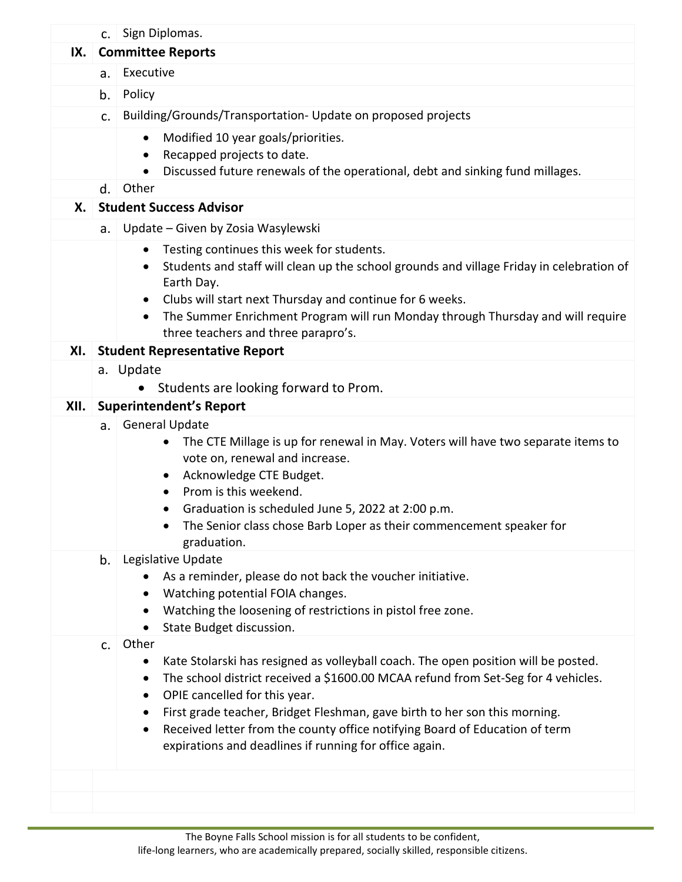|      |                                      | c. Sign Diplomas.                                                                                                                                                                                                                                                                                                                                                                                                                                                                                 |  |  |
|------|--------------------------------------|---------------------------------------------------------------------------------------------------------------------------------------------------------------------------------------------------------------------------------------------------------------------------------------------------------------------------------------------------------------------------------------------------------------------------------------------------------------------------------------------------|--|--|
| IX.  |                                      | <b>Committee Reports</b>                                                                                                                                                                                                                                                                                                                                                                                                                                                                          |  |  |
|      | а.                                   | Executive                                                                                                                                                                                                                                                                                                                                                                                                                                                                                         |  |  |
|      | b.                                   | Policy                                                                                                                                                                                                                                                                                                                                                                                                                                                                                            |  |  |
|      | c.                                   | Building/Grounds/Transportation- Update on proposed projects                                                                                                                                                                                                                                                                                                                                                                                                                                      |  |  |
|      |                                      | Modified 10 year goals/priorities.<br>$\bullet$<br>Recapped projects to date.<br>٠<br>Discussed future renewals of the operational, debt and sinking fund millages.                                                                                                                                                                                                                                                                                                                               |  |  |
|      | d.                                   | Other                                                                                                                                                                                                                                                                                                                                                                                                                                                                                             |  |  |
| Х.   |                                      | <b>Student Success Advisor</b>                                                                                                                                                                                                                                                                                                                                                                                                                                                                    |  |  |
|      | a.                                   | Update - Given by Zosia Wasylewski                                                                                                                                                                                                                                                                                                                                                                                                                                                                |  |  |
|      |                                      | Testing continues this week for students.<br>$\bullet$<br>Students and staff will clean up the school grounds and village Friday in celebration of<br>$\bullet$<br>Earth Day.<br>Clubs will start next Thursday and continue for 6 weeks.<br>$\bullet$<br>The Summer Enrichment Program will run Monday through Thursday and will require<br>$\bullet$<br>three teachers and three parapro's.                                                                                                     |  |  |
| XI.  | <b>Student Representative Report</b> |                                                                                                                                                                                                                                                                                                                                                                                                                                                                                                   |  |  |
|      |                                      | a. Update                                                                                                                                                                                                                                                                                                                                                                                                                                                                                         |  |  |
|      |                                      | Students are looking forward to Prom.                                                                                                                                                                                                                                                                                                                                                                                                                                                             |  |  |
| XII. |                                      | <b>Superintendent's Report</b>                                                                                                                                                                                                                                                                                                                                                                                                                                                                    |  |  |
|      |                                      | a. General Update<br>The CTE Millage is up for renewal in May. Voters will have two separate items to<br>vote on, renewal and increase.<br>Acknowledge CTE Budget.<br>$\bullet$<br>Prom is this weekend.<br>$\bullet$<br>Graduation is scheduled June 5, 2022 at 2:00 p.m.<br>The Senior class chose Barb Loper as their commencement speaker for<br>graduation.                                                                                                                                  |  |  |
|      | b.                                   | Legislative Update<br>As a reminder, please do not back the voucher initiative.<br>Watching potential FOIA changes.<br>٠<br>Watching the loosening of restrictions in pistol free zone.<br>٠<br>State Budget discussion.<br>$\bullet$                                                                                                                                                                                                                                                             |  |  |
|      | C.                                   | Other<br>Kate Stolarski has resigned as volleyball coach. The open position will be posted.<br>$\bullet$<br>The school district received a \$1600.00 MCAA refund from Set-Seg for 4 vehicles.<br>٠<br>OPIE cancelled for this year.<br>$\bullet$<br>First grade teacher, Bridget Fleshman, gave birth to her son this morning.<br>$\bullet$<br>Received letter from the county office notifying Board of Education of term<br>$\bullet$<br>expirations and deadlines if running for office again. |  |  |
|      |                                      |                                                                                                                                                                                                                                                                                                                                                                                                                                                                                                   |  |  |